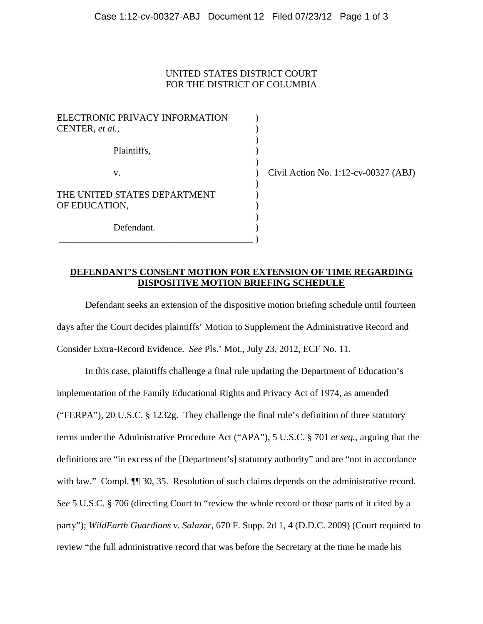## UNITED STATES DISTRICT COURT FOR THE DISTRICT OF COLUMBIA

| ELECTRONIC PRIVACY INFORMATION<br>CENTER, et al., |  |
|---------------------------------------------------|--|
| Plaintiffs,                                       |  |
| V.                                                |  |
| THE UNITED STATES DEPARTMENT<br>OF EDUCATION,     |  |
| Defendant.                                        |  |

 $\vert$  Civil Action No. 1:12-cv-00327 (ABJ)

## **DEFENDANT'S CONSENT MOTION FOR EXTENSION OF TIME REGARDING DISPOSITIVE MOTION BRIEFING SCHEDULE**

Defendant seeks an extension of the dispositive motion briefing schedule until fourteen days after the Court decides plaintiffs' Motion to Supplement the Administrative Record and Consider Extra-Record Evidence. *See* Pls.' Mot., July 23, 2012, ECF No. 11.

In this case, plaintiffs challenge a final rule updating the Department of Education's implementation of the Family Educational Rights and Privacy Act of 1974, as amended ("FERPA"), 20 U.S.C. § 1232g. They challenge the final rule's definition of three statutory terms under the Administrative Procedure Act ("APA"), 5 U.S.C. § 701 *et seq.*, arguing that the definitions are "in excess of the [Department's] statutory authority" and are "not in accordance with law." Compl.  $\P$  30, 35. Resolution of such claims depends on the administrative record. *See* 5 U.S.C. § 706 (directing Court to "review the whole record or those parts of it cited by a party"); *WildEarth Guardians v. Salazar*, 670 F. Supp. 2d 1, 4 (D.D.C. 2009) (Court required to review "the full administrative record that was before the Secretary at the time he made his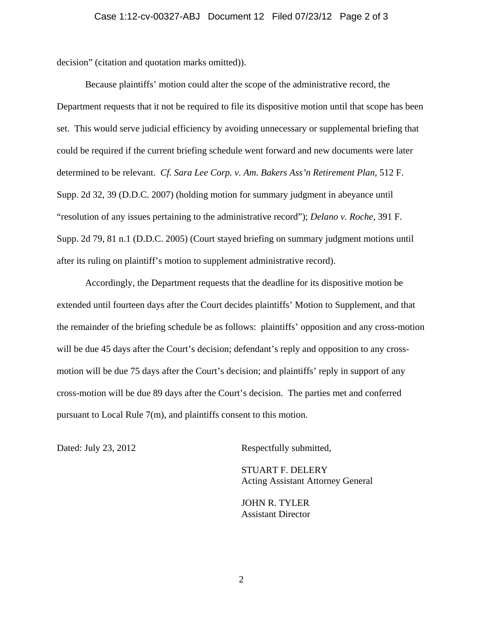decision" (citation and quotation marks omitted)).

Because plaintiffs' motion could alter the scope of the administrative record, the Department requests that it not be required to file its dispositive motion until that scope has been set. This would serve judicial efficiency by avoiding unnecessary or supplemental briefing that could be required if the current briefing schedule went forward and new documents were later determined to be relevant. *Cf. Sara Lee Corp. v. Am. Bakers Ass'n Retirement Plan*, 512 F. Supp. 2d 32, 39 (D.D.C. 2007) (holding motion for summary judgment in abeyance until "resolution of any issues pertaining to the administrative record"); *Delano v. Roche*, 391 F. Supp. 2d 79, 81 n.1 (D.D.C. 2005) (Court stayed briefing on summary judgment motions until after its ruling on plaintiff's motion to supplement administrative record).

Accordingly, the Department requests that the deadline for its dispositive motion be extended until fourteen days after the Court decides plaintiffs' Motion to Supplement, and that the remainder of the briefing schedule be as follows: plaintiffs' opposition and any cross-motion will be due 45 days after the Court's decision; defendant's reply and opposition to any crossmotion will be due 75 days after the Court's decision; and plaintiffs' reply in support of any cross-motion will be due 89 days after the Court's decision. The parties met and conferred pursuant to Local Rule 7(m), and plaintiffs consent to this motion.

Dated: July 23, 2012 Respectfully submitted,

STUART F. DELERY Acting Assistant Attorney General

JOHN R. TYLER Assistant Director